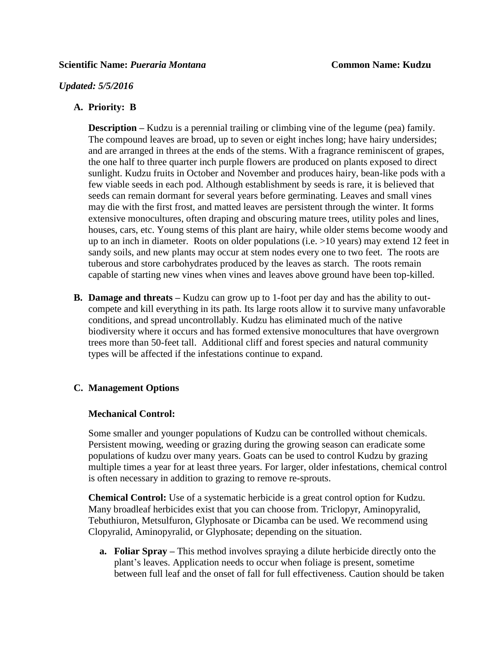### *Updated: 5/5/2016*

## **A. Priority: B**

**Description** – Kudzu is a perennial trailing or climbing vine of the legume (pea) family. The compound leaves are broad, up to seven or eight inches long; have hairy undersides; and are arranged in threes at the ends of the stems. With a fragrance reminiscent of grapes, the one half to three quarter inch purple flowers are produced on plants exposed to direct sunlight. Kudzu fruits in October and November and produces hairy, bean-like pods with a few viable seeds in each pod. Although establishment by seeds is rare, it is believed that seeds can remain dormant for several years before germinating. Leaves and small vines may die with the first frost, and matted leaves are persistent through the winter. It forms extensive monocultures, often draping and obscuring mature trees, utility poles and lines, houses, cars, etc. Young stems of this plant are hairy, while older stems become woody and up to an inch in diameter. Roots on older populations (i.e. >10 years) may extend 12 feet in sandy soils, and new plants may occur at stem nodes every one to two feet. The roots are tuberous and store carbohydrates produced by the leaves as starch. The roots remain capable of starting new vines when vines and leaves above ground have been top-killed.

**B. Damage and threats –** Kudzu can grow up to 1-foot per day and has the ability to outcompete and kill everything in its path. Its large roots allow it to survive many unfavorable conditions, and spread uncontrollably. Kudzu has eliminated much of the native biodiversity where it occurs and has formed extensive monocultures that have overgrown trees more than 50-feet tall. Additional cliff and forest species and natural community types will be affected if the infestations continue to expand.

# **C. Management Options**

#### **Mechanical Control:**

Some smaller and younger populations of Kudzu can be controlled without chemicals. Persistent mowing, weeding or grazing during the growing season can eradicate some populations of kudzu over many years. Goats can be used to control Kudzu by grazing multiple times a year for at least three years. For larger, older infestations, chemical control is often necessary in addition to grazing to remove re-sprouts.

**Chemical Control:** Use of a systematic herbicide is a great control option for Kudzu. Many broadleaf herbicides exist that you can choose from. Triclopyr, Aminopyralid, Tebuthiuron, Metsulfuron, Glyphosate or Dicamba can be used. We recommend using Clopyralid, Aminopyralid, or Glyphosate; depending on the situation.

**a. Foliar Spray –** This method involves spraying a dilute herbicide directly onto the plant's leaves. Application needs to occur when foliage is present, sometime between full leaf and the onset of fall for full effectiveness. Caution should be taken